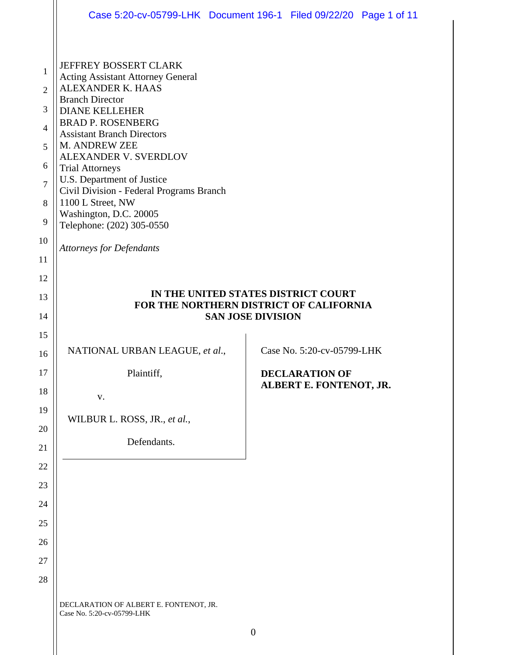|                                          | Case 5:20-cv-05799-LHK Document 196-1 Filed 09/22/20 Page 1 of 11                                                                                                     |  |                                                  |  |
|------------------------------------------|-----------------------------------------------------------------------------------------------------------------------------------------------------------------------|--|--------------------------------------------------|--|
| $\mathbf{1}$<br>2<br>3<br>$\overline{4}$ | JEFFREY BOSSERT CLARK<br><b>Acting Assistant Attorney General</b><br>ALEXANDER K. HAAS<br><b>Branch Director</b><br><b>DIANE KELLEHER</b><br><b>BRAD P. ROSENBERG</b> |  |                                                  |  |
| 5<br>6                                   | <b>Assistant Branch Directors</b><br>M. ANDREW ZEE<br>ALEXANDER V. SVERDLOV<br><b>Trial Attorneys</b>                                                                 |  |                                                  |  |
| $\overline{7}$<br>8                      | U.S. Department of Justice<br>Civil Division - Federal Programs Branch<br>1100 L Street, NW<br>Washington, D.C. 20005                                                 |  |                                                  |  |
| 9<br>10<br>11                            | Telephone: (202) 305-0550<br><b>Attorneys for Defendants</b>                                                                                                          |  |                                                  |  |
| 12<br>13                                 | IN THE UNITED STATES DISTRICT COURT<br>FOR THE NORTHERN DISTRICT OF CALIFORNIA<br><b>SAN JOSE DIVISION</b>                                                            |  |                                                  |  |
| 14                                       |                                                                                                                                                                       |  |                                                  |  |
| 15<br>16                                 | NATIONAL URBAN LEAGUE, et al.,                                                                                                                                        |  | Case No. 5:20-cv-05799-LHK                       |  |
| 17<br>18                                 | Plaintiff,<br>V.                                                                                                                                                      |  | <b>DECLARATION OF</b><br>ALBERT E. FONTENOT, JR. |  |
| 19<br>20                                 | WILBUR L. ROSS, JR., et al.,                                                                                                                                          |  |                                                  |  |
| 21<br>22                                 | Defendants.                                                                                                                                                           |  |                                                  |  |
| 23<br>24                                 |                                                                                                                                                                       |  |                                                  |  |
| 25                                       |                                                                                                                                                                       |  |                                                  |  |
| 26<br>27                                 |                                                                                                                                                                       |  |                                                  |  |
| 28                                       |                                                                                                                                                                       |  |                                                  |  |
|                                          |                                                                                                                                                                       |  |                                                  |  |

 $\parallel$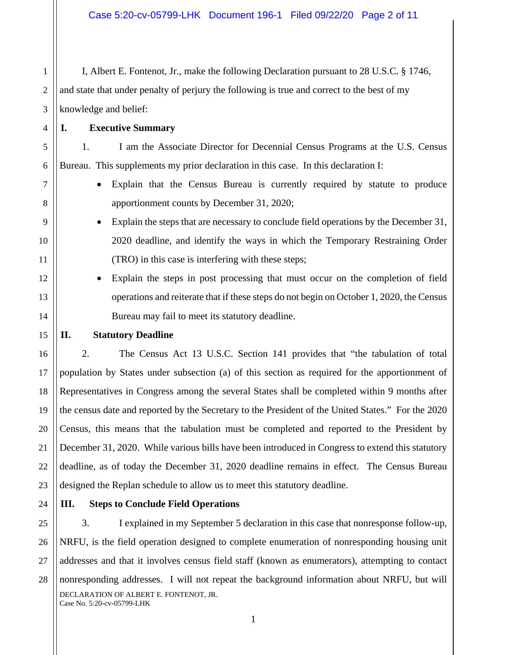I, Albert E. Fontenot, Jr., make the following Declaration pursuant to 28 U.S.C. § 1746, and state that under penalty of perjury the following is true and correct to the best of my knowledge and belief:

1

2

3

4

5

6

7

8

9

10

11

12

13

14

15

16

17

18

19

20

21

22

23

25

27

28

# **I. Executive Summary**

1. I am the Associate Director for Decennial Census Programs at the U.S. Census Bureau. This supplements my prior declaration in this case. In this declaration I:

- Explain that the Census Bureau is currently required by statute to produce apportionment counts by December 31, 2020;
- Explain the steps that are necessary to conclude field operations by the December 31, 2020 deadline, and identify the ways in which the Temporary Restraining Order (TRO) in this case is interfering with these steps;
- Explain the steps in post processing that must occur on the completion of field operations and reiterate that if these steps do not begin on October 1, 2020, the Census Bureau may fail to meet its statutory deadline.

## **II. Statutory Deadline**

2. The Census Act 13 U.S.C. Section 141 provides that "the tabulation of total population by States under subsection (a) of this section as required for the apportionment of Representatives in Congress among the several States shall be completed within 9 months after the census date and reported by the Secretary to the President of the United States." For the 2020 Census, this means that the tabulation must be completed and reported to the President by December 31, 2020. While various bills have been introduced in Congress to extend this statutory deadline, as of today the December 31, 2020 deadline remains in effect. The Census Bureau designed the Replan schedule to allow us to meet this statutory deadline.

24

## **III. Steps to Conclude Field Operations**

DECLARATION OF ALBERT E. FONTENOT, JR. Case No. 5:20-cv-05799-LHK 26 3. I explained in my September 5 declaration in this case that nonresponse follow-up, NRFU, is the field operation designed to complete enumeration of nonresponding housing unit addresses and that it involves census field staff (known as enumerators), attempting to contact nonresponding addresses. I will not repeat the background information about NRFU, but will

1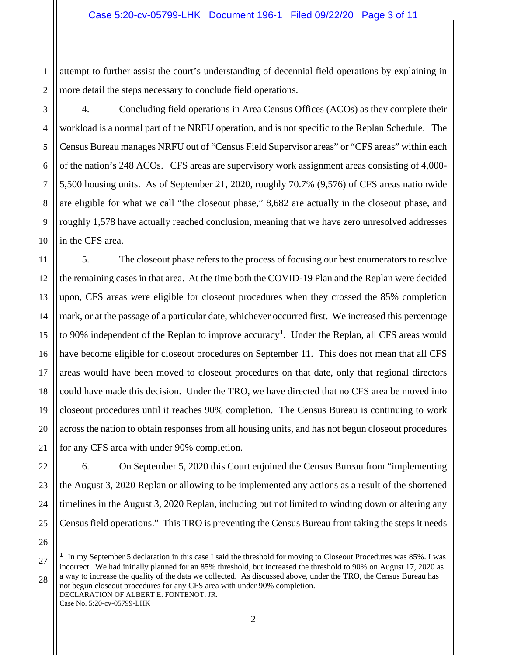1 attempt to further assist the court's understanding of decennial field operations by explaining in more detail the steps necessary to conclude field operations.

2 3

4

5

6

7

8

4. Concluding field operations in Area Census Offices (ACOs) as they complete their workload is a normal part of the NRFU operation, and is not specific to the Replan Schedule. The Census Bureau manages NRFU out of "Census Field Supervisor areas" or "CFS areas" within each of the nation's 248 ACOs. CFS areas are supervisory work assignment areas consisting of 4,000- 5,500 housing units. As of September 21, 2020, roughly 70.7% (9,576) of CFS areas nationwide are eligible for what we call "the closeout phase," 8,682 are actually in the closeout phase, and roughly 1,578 have actually reached conclusion, meaning that we have zero unresolved addresses in the CFS area.

5. The closeout phase refers to the process of focusing our best enumerators to resolve the remaining cases in that area. At the time both the COVID-19 Plan and the Replan were decided upon, CFS areas were eligible for closeout procedures when they crossed the 85% completion mark, or at the passage of a particular date, whichever occurred first. We increased this percentage to 90% independent of the Replan to improve accuracy<sup>[1](#page-2-0)</sup>. Under the Replan, all CFS areas would have become eligible for closeout procedures on September 11. This does not mean that all CFS areas would have been moved to closeout procedures on that date, only that regional directors could have made this decision. Under the TRO, we have directed that no CFS area be moved into closeout procedures until it reaches 90% completion. The Census Bureau is continuing to work across the nation to obtain responses from all housing units, and has not begun closeout procedures for any CFS area with under 90% completion.

6. On September 5, 2020 this Court enjoined the Census Bureau from "implementing the August 3, 2020 Replan or allowing to be implemented any actions as a result of the shortened timelines in the August 3, 2020 Replan, including but not limited to winding down or altering any Census field operations." This TRO is preventing the Census Bureau from taking the steps it needs

DECLARATION OF ALBERT E. FONTENOT, JR. Case No. 5:20-cv-05799-LHK not begun closeout procedures for any CFS area with under 90% completion.

<span id="page-2-0"></span>Ξ  $1$  In my September 5 declaration in this case I said the threshold for moving to Closeout Procedures was 85%. I was incorrect. We had initially planned for an 85% threshold, but increased the threshold to 90% on August 17, 2020 as a way to increase the quality of the data we collected. As discussed above, under the TRO, the Census Bureau has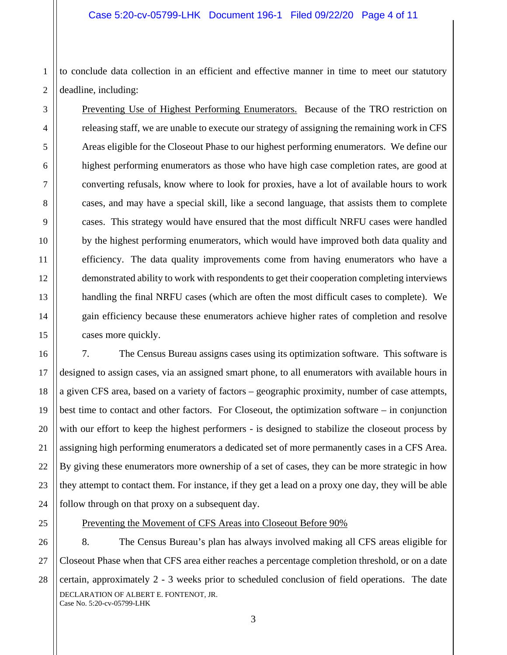2 to conclude data collection in an efficient and effective manner in time to meet our statutory deadline, including:

Preventing Use of Highest Performing Enumerators. Because of the TRO restriction on releasing staff, we are unable to execute our strategy of assigning the remaining work in CFS Areas eligible for the Closeout Phase to our highest performing enumerators. We define our highest performing enumerators as those who have high case completion rates, are good at converting refusals, know where to look for proxies, have a lot of available hours to work cases, and may have a special skill, like a second language, that assists them to complete cases. This strategy would have ensured that the most difficult NRFU cases were handled by the highest performing enumerators, which would have improved both data quality and efficiency. The data quality improvements come from having enumerators who have a demonstrated ability to work with respondents to get their cooperation completing interviews handling the final NRFU cases (which are often the most difficult cases to complete). We gain efficiency because these enumerators achieve higher rates of completion and resolve cases more quickly.

7. The Census Bureau assigns cases using its optimization software. This software is designed to assign cases, via an assigned smart phone, to all enumerators with available hours in a given CFS area, based on a variety of factors – geographic proximity, number of case attempts, best time to contact and other factors. For Closeout, the optimization software – in conjunction with our effort to keep the highest performers - is designed to stabilize the closeout process by assigning high performing enumerators a dedicated set of more permanently cases in a CFS Area. By giving these enumerators more ownership of a set of cases, they can be more strategic in how they attempt to contact them. For instance, if they get a lead on a proxy one day, they will be able follow through on that proxy on a subsequent day.

25

1

3

4

5

6

7

8

9

10

11

12

13

14

15

16

17

18

19

20

21

22

23

24

26

27

28

## Preventing the Movement of CFS Areas into Closeout Before 90%

DECLARATION OF ALBERT E. FONTENOT, JR. Case No. 5:20-cv-05799-LHK 8. The Census Bureau's plan has always involved making all CFS areas eligible for Closeout Phase when that CFS area either reaches a percentage completion threshold, or on a date certain, approximately 2 - 3 weeks prior to scheduled conclusion of field operations. The date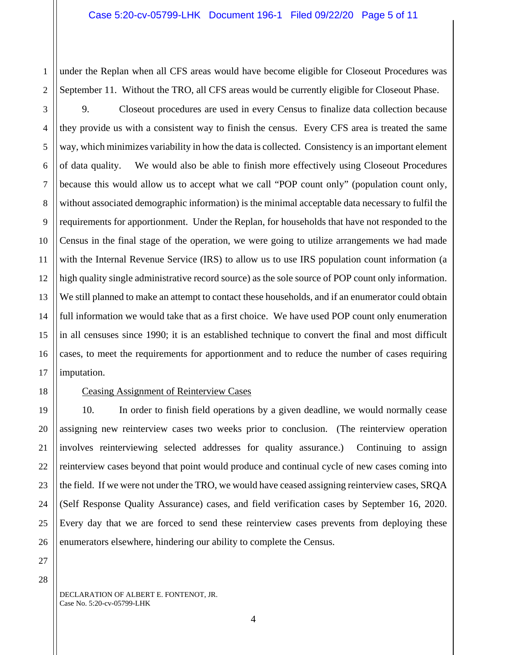under the Replan when all CFS areas would have become eligible for Closeout Procedures was September 11. Without the TRO, all CFS areas would be currently eligible for Closeout Phase.

9. Closeout procedures are used in every Census to finalize data collection because they provide us with a consistent way to finish the census. Every CFS area is treated the same way, which minimizes variability in how the data is collected. Consistency is an important element of data quality. We would also be able to finish more effectively using Closeout Procedures because this would allow us to accept what we call "POP count only" (population count only, without associated demographic information) is the minimal acceptable data necessary to fulfil the requirements for apportionment. Under the Replan, for households that have not responded to the Census in the final stage of the operation, we were going to utilize arrangements we had made with the Internal Revenue Service (IRS) to allow us to use IRS population count information (a high quality single administrative record source) as the sole source of POP count only information. We still planned to make an attempt to contact these households, and if an enumerator could obtain full information we would take that as a first choice. We have used POP count only enumeration in all censuses since 1990; it is an established technique to convert the final and most difficult cases, to meet the requirements for apportionment and to reduce the number of cases requiring imputation.

1

2

3

4

5

6

7

8

9

10

11

12

13

14

15

16

17

18

19

20

21

22

23

24

25

26

27

## Ceasing Assignment of Reinterview Cases

10. In order to finish field operations by a given deadline, we would normally cease assigning new reinterview cases two weeks prior to conclusion. (The reinterview operation involves reinterviewing selected addresses for quality assurance.) Continuing to assign reinterview cases beyond that point would produce and continual cycle of new cases coming into the field. If we were not under the TRO, we would have ceased assigning reinterview cases, SRQA (Self Response Quality Assurance) cases, and field verification cases by September 16, 2020. Every day that we are forced to send these reinterview cases prevents from deploying these enumerators elsewhere, hindering our ability to complete the Census.

28

DECLARATION OF ALBERT E. FONTENOT, JR. Case No. 5:20-cv-05799-LHK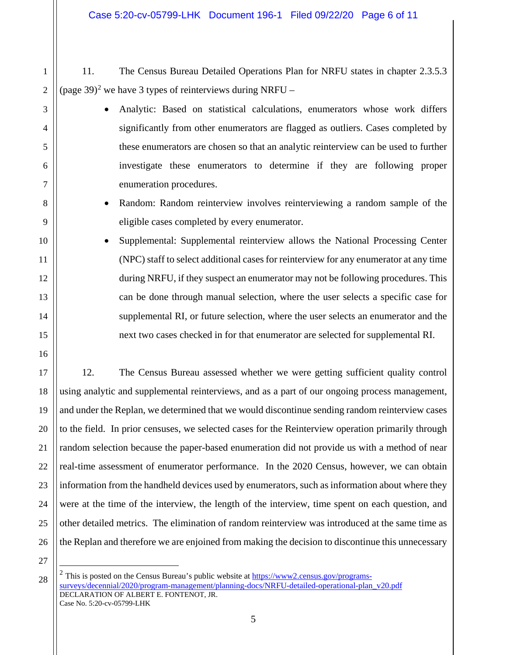- 11. The Census Bureau Detailed Operations Plan for NRFU states in chapter 2.3.5.3 (page 39)<sup>[2](#page-5-0)</sup> we have 3 types of reinterviews during NRFU –
	- Analytic: Based on statistical calculations, enumerators whose work differs significantly from other enumerators are flagged as outliers. Cases completed by these enumerators are chosen so that an analytic reinterview can be used to further investigate these enumerators to determine if they are following proper enumeration procedures.
	- Random: Random reinterview involves reinterviewing a random sample of the eligible cases completed by every enumerator.
	- Supplemental: Supplemental reinterview allows the National Processing Center (NPC) staff to select additional cases for reinterview for any enumerator at any time during NRFU, if they suspect an enumerator may not be following procedures. This can be done through manual selection, where the user selects a specific case for supplemental RI, or future selection, where the user selects an enumerator and the next two cases checked in for that enumerator are selected for supplemental RI.

12. The Census Bureau assessed whether we were getting sufficient quality control using analytic and supplemental reinterviews, and as a part of our ongoing process management, and under the Replan, we determined that we would discontinue sending random reinterview cases to the field. In prior censuses, we selected cases for the Reinterview operation primarily through random selection because the paper-based enumeration did not provide us with a method of near real-time assessment of enumerator performance. In the 2020 Census, however, we can obtain information from the handheld devices used by enumerators, such as information about where they were at the time of the interview, the length of the interview, time spent on each question, and other detailed metrics. The elimination of random reinterview was introduced at the same time as the Replan and therefore we are enjoined from making the decision to discontinue this unnecessary

27

Ξ

26

1

2

3

4

5

6

7

8

9

10

11

12

13

14

15

16

17

18

19

20

21

22

23

24

25

<span id="page-5-0"></span>DECLARATION OF ALBERT E. FONTENOT, JR. Case No. 5:20-cv-05799-LHK 28 <sup>2</sup> This is posted on the Census Bureau's public website at  $\frac{https://www2.census.gov/programs$ [surveys/decennial/2020/program-management/planning-docs/NRFU-detailed-operational-plan\\_v20.pdf](https://www2.census.gov/programs-surveys/decennial/2020/program-management/planning-docs/NRFU-detailed-operational-plan_v20.pdf)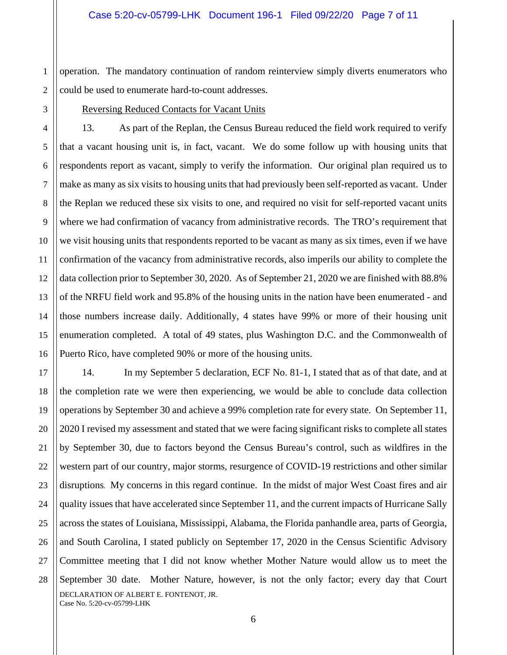2 operation. The mandatory continuation of random reinterview simply diverts enumerators who could be used to enumerate hard-to-count addresses.

1

3

17

18

19

21

23

24

25

26

27

28

#### Reversing Reduced Contacts for Vacant Units

4 5 6 7 8 9 10 11 12 13 14 15 16 13. As part of the Replan, the Census Bureau reduced the field work required to verify that a vacant housing unit is, in fact, vacant. We do some follow up with housing units that respondents report as vacant, simply to verify the information. Our original plan required us to make as many as six visits to housing units that had previously been self-reported as vacant. Under the Replan we reduced these six visits to one, and required no visit for self-reported vacant units where we had confirmation of vacancy from administrative records. The TRO's requirement that we visit housing units that respondents reported to be vacant as many as six times, even if we have confirmation of the vacancy from administrative records, also imperils our ability to complete the data collection prior to September 30, 2020. As of September 21, 2020 we are finished with 88.8% of the NRFU field work and 95.8% of the housing units in the nation have been enumerated - and those numbers increase daily. Additionally, 4 states have 99% or more of their housing unit enumeration completed. A total of 49 states, plus Washington D.C. and the Commonwealth of Puerto Rico, have completed 90% or more of the housing units.

DECLARATION OF ALBERT E. FONTENOT, JR. Case No. 5:20-cv-05799-LHK 20 22 14. In my September 5 declaration, ECF No. 81-1, I stated that as of that date, and at the completion rate we were then experiencing, we would be able to conclude data collection operations by September 30 and achieve a 99% completion rate for every state. On September 11, 2020 I revised my assessment and stated that we were facing significant risks to complete all states by September 30, due to factors beyond the Census Bureau's control, such as wildfires in the western part of our country, major storms, resurgence of COVID-19 restrictions and other similar disruptions. My concerns in this regard continue. In the midst of major West Coast fires and air quality issues that have accelerated since September 11, and the current impacts of Hurricane Sally across the states of Louisiana, Mississippi, Alabama, the Florida panhandle area, parts of Georgia, and South Carolina, I stated publicly on September 17, 2020 in the Census Scientific Advisory Committee meeting that I did not know whether Mother Nature would allow us to meet the September 30 date. Mother Nature, however, is not the only factor; every day that Court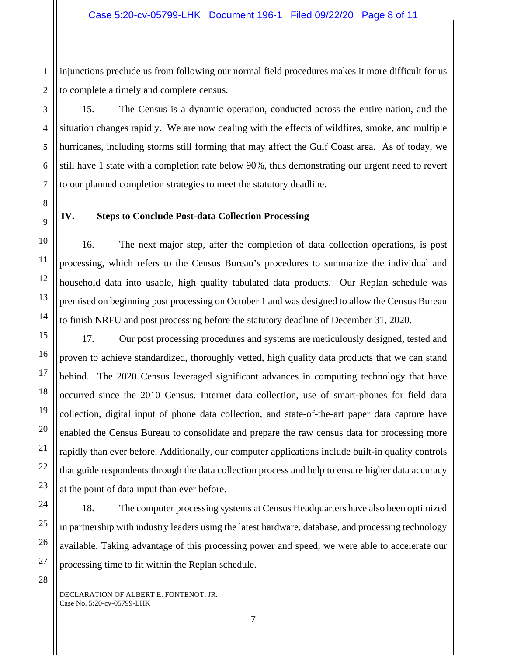1 2 injunctions preclude us from following our normal field procedures makes it more difficult for us to complete a timely and complete census.

15. The Census is a dynamic operation, conducted across the entire nation, and the situation changes rapidly. We are now dealing with the effects of wildfires, smoke, and multiple hurricanes, including storms still forming that may affect the Gulf Coast area. As of today, we still have 1 state with a completion rate below 90%, thus demonstrating our urgent need to revert to our planned completion strategies to meet the statutory deadline.

**IV. Steps to Conclude Post-data Collection Processing**

16. The next major step, after the completion of data collection operations, is post processing, which refers to the Census Bureau's procedures to summarize the individual and household data into usable, high quality tabulated data products. Our Replan schedule was premised on beginning post processing on October 1 and was designed to allow the Census Bureau to finish NRFU and post processing before the statutory deadline of December 31, 2020.

17. Our post processing procedures and systems are meticulously designed, tested and proven to achieve standardized, thoroughly vetted, high quality data products that we can stand behind. The 2020 Census leveraged significant advances in computing technology that have occurred since the 2010 Census. Internet data collection, use of smart-phones for field data collection, digital input of phone data collection, and state-of-the-art paper data capture have enabled the Census Bureau to consolidate and prepare the raw census data for processing more rapidly than ever before. Additionally, our computer applications include built-in quality controls that guide respondents through the data collection process and help to ensure higher data accuracy at the point of data input than ever before.

18. The computer processing systems at Census Headquarters have also been optimized in partnership with industry leaders using the latest hardware, database, and processing technology available. Taking advantage of this processing power and speed, we were able to accelerate our processing time to fit within the Replan schedule.

DECLARATION OF ALBERT E. FONTENOT, JR. Case No. 5:20-cv-05799-LHK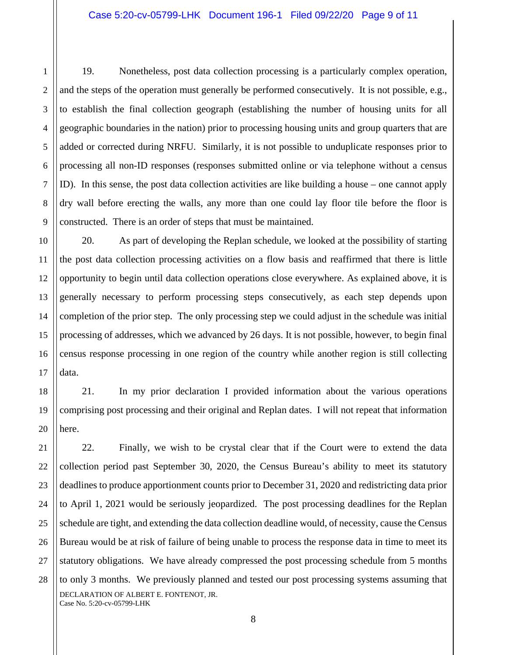19. Nonetheless, post data collection processing is a particularly complex operation, and the steps of the operation must generally be performed consecutively. It is not possible, e.g., to establish the final collection geograph (establishing the number of housing units for all geographic boundaries in the nation) prior to processing housing units and group quarters that are added or corrected during NRFU. Similarly, it is not possible to unduplicate responses prior to processing all non-ID responses (responses submitted online or via telephone without a census ID). In this sense, the post data collection activities are like building a house – one cannot apply dry wall before erecting the walls, any more than one could lay floor tile before the floor is constructed. There is an order of steps that must be maintained.

20. As part of developing the Replan schedule, we looked at the possibility of starting the post data collection processing activities on a flow basis and reaffirmed that there is little opportunity to begin until data collection operations close everywhere. As explained above, it is generally necessary to perform processing steps consecutively, as each step depends upon completion of the prior step. The only processing step we could adjust in the schedule was initial processing of addresses, which we advanced by 26 days. It is not possible, however, to begin final census response processing in one region of the country while another region is still collecting data.

21. In my prior declaration I provided information about the various operations comprising post processing and their original and Replan dates. I will not repeat that information here.

DECLARATION OF ALBERT E. FONTENOT, JR. Case No. 5:20-cv-05799-LHK 22. Finally, we wish to be crystal clear that if the Court were to extend the data collection period past September 30, 2020, the Census Bureau's ability to meet its statutory deadlines to produce apportionment counts prior to December 31, 2020 and redistricting data prior to April 1, 2021 would be seriously jeopardized. The post processing deadlines for the Replan schedule are tight, and extending the data collection deadline would, of necessity, cause the Census Bureau would be at risk of failure of being unable to process the response data in time to meet its statutory obligations. We have already compressed the post processing schedule from 5 months to only 3 months. We previously planned and tested our post processing systems assuming that

1

2

3

4

5

6

7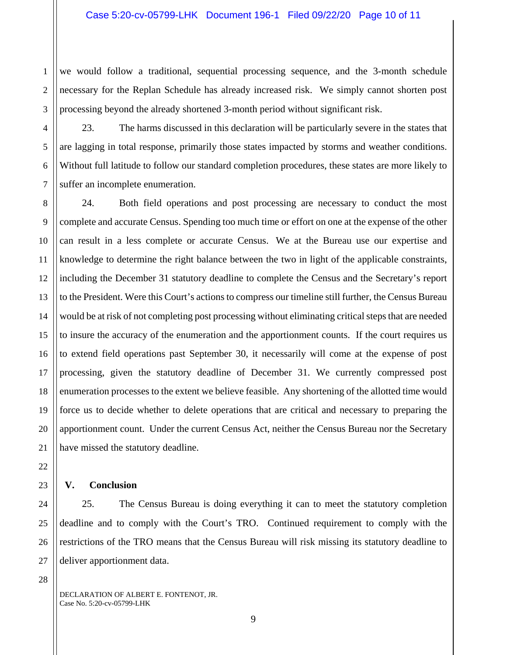we would follow a traditional, sequential processing sequence, and the 3-month schedule necessary for the Replan Schedule has already increased risk. We simply cannot shorten post processing beyond the already shortened 3-month period without significant risk.

23. The harms discussed in this declaration will be particularly severe in the states that are lagging in total response, primarily those states impacted by storms and weather conditions. Without full latitude to follow our standard completion procedures, these states are more likely to suffer an incomplete enumeration.

24. Both field operations and post processing are necessary to conduct the most complete and accurate Census. Spending too much time or effort on one at the expense of the other can result in a less complete or accurate Census. We at the Bureau use our expertise and knowledge to determine the right balance between the two in light of the applicable constraints, including the December 31 statutory deadline to complete the Census and the Secretary's report to the President. Were this Court's actions to compress our timeline still further, the Census Bureau would be at risk of not completing post processing without eliminating critical steps that are needed to insure the accuracy of the enumeration and the apportionment counts. If the court requires us to extend field operations past September 30, it necessarily will come at the expense of post processing, given the statutory deadline of December 31. We currently compressed post enumeration processes to the extent we believe feasible. Any shortening of the allotted time would force us to decide whether to delete operations that are critical and necessary to preparing the apportionment count. Under the current Census Act, neither the Census Bureau nor the Secretary have missed the statutory deadline.

#### **V. Conclusion**

1

2

3

4

5

6

7

8

9

10

11

12

13

14

15

16

17

18

19

20

21

22

23

24

25

26

27

28

25. The Census Bureau is doing everything it can to meet the statutory completion deadline and to comply with the Court's TRO. Continued requirement to comply with the restrictions of the TRO means that the Census Bureau will risk missing its statutory deadline to deliver apportionment data.

DECLARATION OF ALBERT E. FONTENOT, JR. Case No. 5:20-cv-05799-LHK